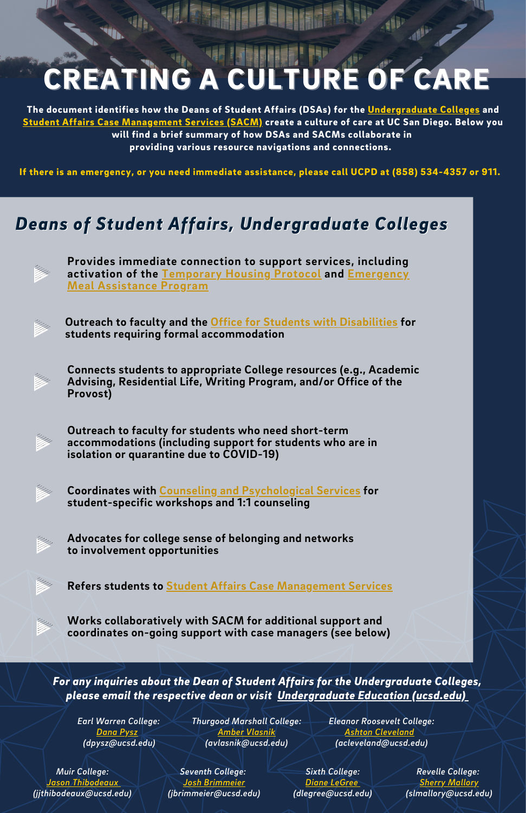## CREATING A CULTURE OF CARE

The document identifies how the Deans of Student Affairs (DSAs) for the [Undergraduate](https://undergrad.ucsd.edu/) Colleges and Student Affairs Case [Management](https://vcsa.ucsd.edu/case-management/index.html) Services (SACM) create a culture of care at UC San Diego. Below you will find a brief summary of how DSAs and SACMs collaborate in providing various resource navigations and connections.

If there is an emergency, or you need immediate assistance, please call UCPD at (858) 534-4357 or 911.

## *Deans of Student Affairs, Undergraduate Colleges*

**Provides immediate connection to support services, including activation of the [Temporary](https://basicneeds.ucsd.edu/housing-resources/emergency-housing/index.html) Housing Protocol and [Emergency](https://thehub.ucsd.edu/food-security/index.html) Meal Assistance Program**

**Outreach to faculty and the Office for Students with Disabilities for students requiring formal [accommodation](https://osd.ucsd.edu/)**

**Connects students to appropriate College resources (e.g., Academic Advising, Residential Life, Writing Program, and/or Office of the Provost)**

**Outreach to faculty for students who need short-term accommodations (including support for students who are in isolation or quarantine due to COVID-19)**

**Coordinates with Counseling and [Psychological](https://caps.ucsd.edu/) Services for student-specific workshops and 1:1 counseling**

**Advocates for college sense of belonging and networks to involvement opportunities**

**Refers students to Student Affairs Case [Management](https://vcsa.ucsd.edu/case-management/index.html) Services**

**Works collaboratively with SACM for additional support and coordinates on-going support with case managers (see below)**

*For any inquiries about the Dean of Student Affairs for the Undergraduate Colle[ge](https://undergrad.ucsd.edu/)s, please email the respective dean or visit [Undergraduate](https://undergrad.ucsd.edu/) Education (ucsd.edu)*

*Earl Warren College: [Dana](mailto:dpysz@ucsd.edu) Pysz (dpysz@ucsd.edu)*

*Thurgood Marshall College: Amber [Vlasnik](mailto:avlasnik@ucsd.edu) [\(avlasnik@ucsd.edu\)](mailto:avlasnik@ucsd.edu)*

*Eleanor Roosevelt College: Ashton [Cleveland](mailto:acleveland@ucsd.edu) [\(acleveland@ucsd.edu\)](mailto:acleveland@ucsd.edu)*

*Muir College:* ason *Thibodeau (jjthibodeaux@ucsd.edu)*

*Seventh College: Josh [Brimmeier](mailto:jbrimmeier@ucsd.edu) (jbrimmeier@ucsd.edu)*

*Sixth College: Diane [LeGree](mailto:dlegree@ucsd.edu) (dlegree@ucsd.edu)*

*Revelle College: Sherry [Mallory](mailto:slmallory@ucsd.edu) (slmallory@ucsd.edu)*